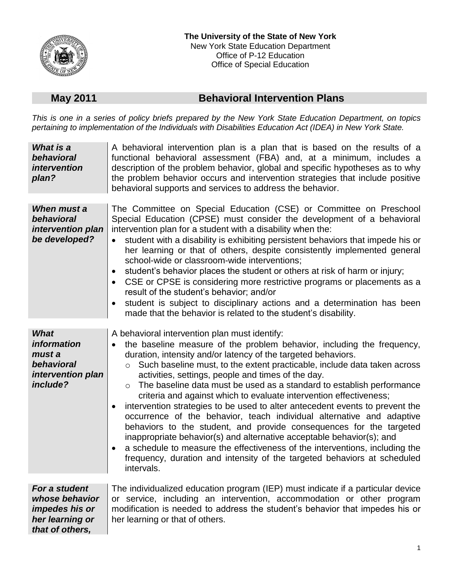

## **May 2011 Behavioral Intervention Plans**

*This is one in a series of policy briefs prepared by the New York State Education Department, on topics pertaining to implementation of the Individuals with Disabilities Education Act (IDEA) in New York State.*

| What is a<br>behavioral<br><i>intervention</i><br>plan?                                        | A behavioral intervention plan is a plan that is based on the results of a<br>functional behavioral assessment (FBA) and, at a minimum, includes a<br>description of the problem behavior, global and specific hypotheses as to why<br>the problem behavior occurs and intervention strategies that include positive<br>behavioral supports and services to address the behavior.                                                                                                                                                                                                                                                                                                                                                                                                                                                                                                                                                                                                              |
|------------------------------------------------------------------------------------------------|------------------------------------------------------------------------------------------------------------------------------------------------------------------------------------------------------------------------------------------------------------------------------------------------------------------------------------------------------------------------------------------------------------------------------------------------------------------------------------------------------------------------------------------------------------------------------------------------------------------------------------------------------------------------------------------------------------------------------------------------------------------------------------------------------------------------------------------------------------------------------------------------------------------------------------------------------------------------------------------------|
| When must a<br>behavioral<br>intervention plan<br>be developed?                                | The Committee on Special Education (CSE) or Committee on Preschool<br>Special Education (CPSE) must consider the development of a behavioral<br>intervention plan for a student with a disability when the:<br>student with a disability is exhibiting persistent behaviors that impede his or<br>her learning or that of others, despite consistently implemented general<br>school-wide or classroom-wide interventions;<br>student's behavior places the student or others at risk of harm or injury;<br>$\bullet$<br>CSE or CPSE is considering more restrictive programs or placements as a<br>$\bullet$<br>result of the student's behavior; and/or<br>student is subject to disciplinary actions and a determination has been<br>$\bullet$<br>made that the behavior is related to the student's disability.                                                                                                                                                                            |
| <b>What</b><br><i>information</i><br>must a<br>behavioral<br>intervention plan<br>include?     | A behavioral intervention plan must identify:<br>the baseline measure of the problem behavior, including the frequency,<br>duration, intensity and/or latency of the targeted behaviors.<br>Such baseline must, to the extent practicable, include data taken across<br>$\circ$<br>activities, settings, people and times of the day.<br>The baseline data must be used as a standard to establish performance<br>$\circ$<br>criteria and against which to evaluate intervention effectiveness;<br>intervention strategies to be used to alter antecedent events to prevent the<br>$\bullet$<br>occurrence of the behavior, teach individual alternative and adaptive<br>behaviors to the student, and provide consequences for the targeted<br>inappropriate behavior(s) and alternative acceptable behavior(s); and<br>a schedule to measure the effectiveness of the interventions, including the<br>frequency, duration and intensity of the targeted behaviors at scheduled<br>intervals. |
| For a student<br>whose behavior<br><i>impedes his or</i><br>her learning or<br>that of others, | The individualized education program (IEP) must indicate if a particular device<br>or service, including an intervention, accommodation or other program<br>modification is needed to address the student's behavior that impedes his or<br>her learning or that of others.                                                                                                                                                                                                                                                                                                                                                                                                                                                                                                                                                                                                                                                                                                                    |